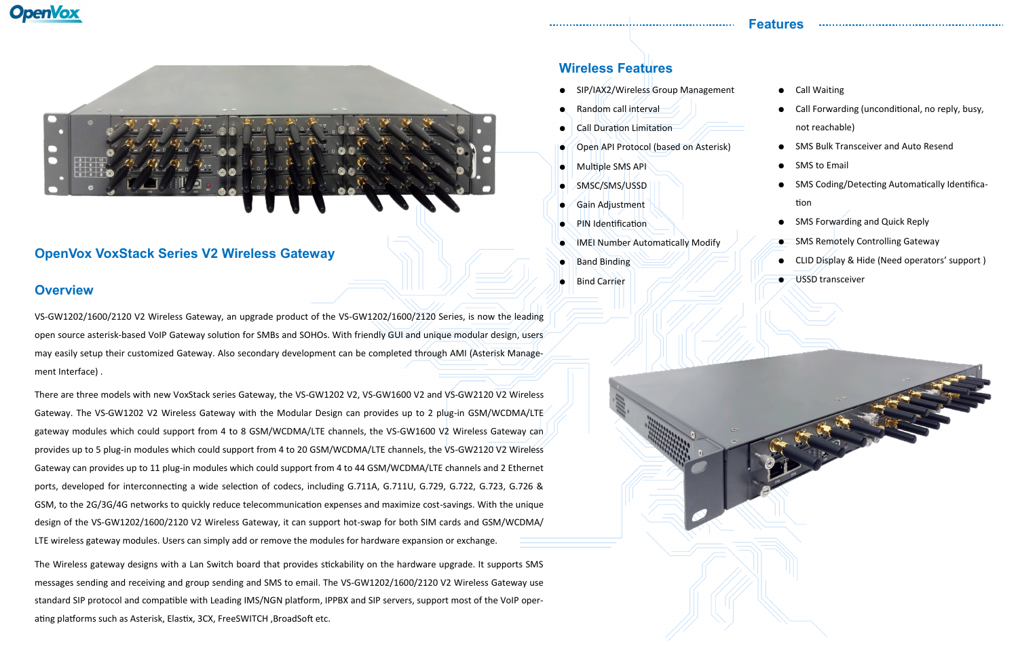

# **OpenVox VoxStack Series V2 Wireless Gateway**

# **Overview**

VS-GW1202/1600/2120 V2 Wireless Gateway, an upgrade product of the VS-GW1202/1600/2120 Series, is now the leading open source asterisk-based VoIP Gateway solution for SMBs and SOHOs. With friendly GUI and unique modular design, users may easily setup their customized Gateway. Also secondary development can be completed through AMI (Asterisk Management Interface) .

There are three models with new VoxStack series Gateway, the VS-GW1202 V2, VS-GW1600 V2 and VS-GW2120 V2 Wireless Gateway. The VS-GW1202 V2 Wireless Gateway with the Modular Design can provides up to 2 plug-in GSM/WCDMA/LTE gateway modules which could support from 4 to 8 GSM/WCDMA/LTE channels, the VS-GW1600 V2 Wireless Gateway can provides up to 5 plug-in modules which could support from 4 to 20 GSM/WCDMA/LTE channels, the VS-GW2120 V2 Wireless Gateway can provides up to 11 plug-in modules which could support from 4 to 44 GSM/WCDMA/LTE channels and 2 Ethernet ports, developed for interconnecting a wide selection of codecs, including G.711A, G.711U, G.729, G.722, G.723, G.726 & GSM, to the 2G/3G/4G networks to quickly reduce telecommunication expenses and maximize cost-savings. With the unique design of the VS-GW1202/1600/2120 V2 Wireless Gateway, it can support hot-swap for both SIM cards and GSM/WCDMA/ LTE wireless gateway modules. Users can simply add or remove the modules for hardware expansion or exchange.

The Wireless gateway designs with a Lan Switch board that provides stickability on the hardware upgrade. It supports SMS messages sending and receiving and group sending and SMS to email. The VS-GW1202/1600/2120 V2 Wireless Gateway use standard SIP protocol and compatible with Leading IMS/NGN platform, IPPBX and SIP servers, support most of the VoIP operating platforms such as Asterisk, Elastix, 3CX, FreeSWITCH ,BroadSoft etc.



# **Wireless Features**

● SIP/IAX2/Wireless Group Management

- Random call interval
- **Call Duration Limitation**
- Open API Protocol (based on Asterisk)
- Multiple SMS API
- SMSC/SMS/USSD
- Gain Adjustment
- PIN Identification
- **IMEI Number Automatically Modify**
- **Band Binding**
- **Bind Carrier**
- Call Waiting
- Call Forwarding (unconditional, no reply, busy, not reachable)

- SMS Bulk Transceiver and Auto Resend
- SMS to Email
- SMS Coding/Detecting Automatically Identification
- SMS Forwarding and Quick Reply
- **SMS Remotely Controlling Gateway**
- CLID Display & Hide (Need operators' support)
- **USSD** transceiver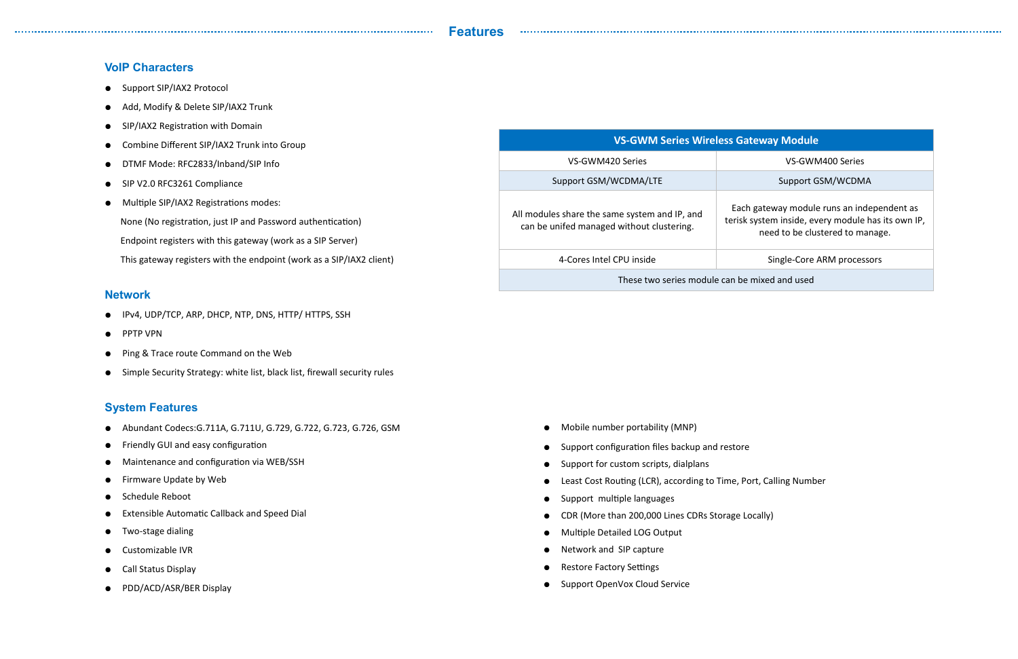### **Features**

## **VoIP Characters**

- Support SIP/IAX2 Protocol
- Add, Modify & Delete SIP/IAX2 Trunk
- SIP/IAX2 Registration with Domain
- Combine Different SIP/IAX2 Trunk into Group

- IPv4, UDP/TCP, ARP, DHCP, NTP, DNS, HTTP/ HTTPS, SSH
- PPTP VPN
- Ping & Trace route Command on the Web
- Simple Security Strategy: white list, black list, firewall security rules
- DTMF Mode: RFC2833/Inband/SIP Info
- SIP V2.0 RFC3261 Compliance
- Multiple SIP/IAX2 Registrations modes:
	- None (No registration, just IP and Password authentication)
- Endpoint registers with this gateway (work as a SIP Server)
- This gateway registers with the endpoint (work as a SIP/IAX2 client)

## **Network**

# **System Features**

- Mobile number portability (MNP)
- Support configuration files backup and restore
- Support for custom scripts, dialplans
- Least Cost Routing (LCR), according to Time, Port, Calling Number
- Support multiple languages
- CDR (More than 200,000 Lines CDRs Storage Locally)
- **Multiple Detailed LOG Output**
- Network and SIP capture
- Restore Factory Settings
- Support OpenVox Cloud Service

## **Reway Module**

VS-GWM400 Series

Support GSM/WCDMA

- Abundant Codecs:G.711A, G.711U, G.729, G.722, G.723, G.726, GSM
- Friendly GUI and easy configuration
- Maintenance and configuration via WEB/SSH
- Firmware Update by Web
- Schedule Reboot
- Extensible Automatic Callback and Speed Dial
- Two-stage dialing
- Customizable IVR
- Call Status Display
- PDD/ACD/ASR/BER Display

h gateway module runs an independent as system inside, every module has its own IP, need to be clustered to manage.

Single-Core ARM processors

| <b>VS-GWM Series Wireless Ga</b>                                                           |                |  |
|--------------------------------------------------------------------------------------------|----------------|--|
| VS-GWM420 Series                                                                           |                |  |
| Support GSM/WCDMA/LTE                                                                      |                |  |
| All modules share the same system and IP, and<br>can be unifed managed without clustering. | Each<br>terisk |  |
| 4-Cores Intel CPU inside                                                                   |                |  |
|                                                                                            |                |  |

These two series module can be mixed and used